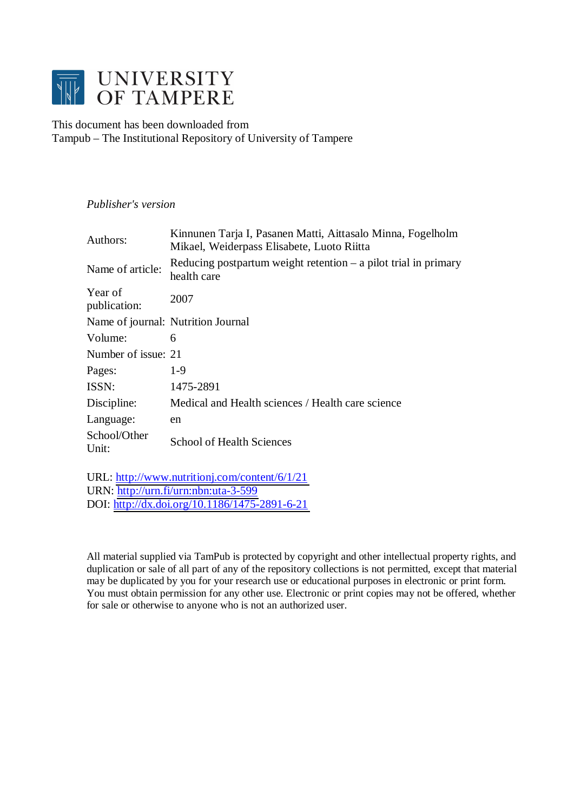

This document has been downloaded from Tampub – The Institutional Repository of University of Tampere

# *Publisher's version*

| Authors:                | Kinnunen Tarja I, Pasanen Matti, Aittasalo Minna, Fogelholm<br>Mikael, Weiderpass Elisabete, Luoto Riitta |
|-------------------------|-----------------------------------------------------------------------------------------------------------|
| Name of article:        | Reducing postpartum weight retention $-$ a pilot trial in primary<br>health care                          |
| Year of<br>publication: | 2007                                                                                                      |
|                         | Name of journal: Nutrition Journal                                                                        |
| Volume:                 | 6                                                                                                         |
| Number of issue: 21     |                                                                                                           |
| Pages:                  | 1-9                                                                                                       |
| ISSN:                   | 1475-2891                                                                                                 |
| Discipline:             | Medical and Health sciences / Health care science                                                         |
| Language:               | en                                                                                                        |
| School/Other<br>Unit:   | <b>School of Health Sciences</b>                                                                          |

URL: <http://www.nutritionj.com/content/6/1/21> URN: <http://urn.fi/urn:nbn:uta-3-599> DOI: <http://dx.doi.org/10.1186/1475-2891-6-21>

All material supplied via TamPub is protected by copyright and other intellectual property rights, and duplication or sale of all part of any of the repository collections is not permitted, except that material may be duplicated by you for your research use or educational purposes in electronic or print form. You must obtain permission for any other use. Electronic or print copies may not be offered, whether for sale or otherwise to anyone who is not an authorized user.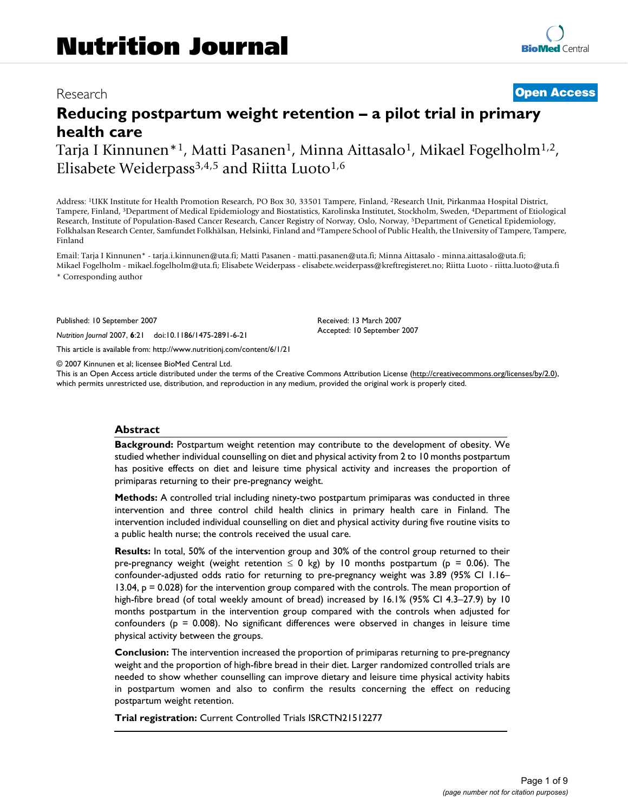# Research **[Open Access](http://www.biomedcentral.com/info/about/charter/)**

# **Reducing postpartum weight retention – a pilot trial in primary health care**

Tarja I Kinnunen<sup>\*1</sup>, Matti Pasanen<sup>1</sup>, Minna Aittasalo<sup>1</sup>, Mikael Fogelholm<sup>1,2</sup>, Elisabete Weiderpass<sup>3,4,5</sup> and Riitta Luoto<sup>1,6</sup>

Address: 1UKK Institute for Health Promotion Research, PO Box 30, 33501 Tampere, Finland, 2Research Unit, Pirkanmaa Hospital District, Tampere, Finland, 3Department of Medical Epidemiology and Biostatistics, Karolinska Institutet, Stockholm, Sweden, 4Department of Etiological Research, Institute of Population-Based Cancer Research, Cancer Registry of Norway, Oslo, Norway, 5Department of Genetical Epidemiology, Folkhalsan Research Center, Samfundet Folkhälsan, Helsinki, Finland and <sup>6</sup>Tampere School of Public Health, the University of Tampere, Tampere, Finland

Email: Tarja I Kinnunen\* - tarja.i.kinnunen@uta.fi; Matti Pasanen - matti.pasanen@uta.fi; Minna Aittasalo - minna.aittasalo@uta.fi; Mikael Fogelholm - mikael.fogelholm@uta.fi; Elisabete Weiderpass - elisabete.weiderpass@kreftregisteret.no; Riitta Luoto - riitta.luoto@uta.fi \* Corresponding author

> Received: 13 March 2007 Accepted: 10 September 2007

Published: 10 September 2007

*Nutrition Journal* 2007, **6**:21 doi:10.1186/1475-2891-6-21

[This article is available from: http://www.nutritionj.com/content/6/1/21](http://www.nutritionj.com/content/6/1/21)

© 2007 Kinnunen et al; licensee BioMed Central Ltd.

This is an Open Access article distributed under the terms of the Creative Commons Attribution License [\(http://creativecommons.org/licenses/by/2.0\)](http://creativecommons.org/licenses/by/2.0), which permits unrestricted use, distribution, and reproduction in any medium, provided the original work is properly cited.

#### **Abstract**

**Background:** Postpartum weight retention may contribute to the development of obesity. We studied whether individual counselling on diet and physical activity from 2 to 10 months postpartum has positive effects on diet and leisure time physical activity and increases the proportion of primiparas returning to their pre-pregnancy weight.

**Methods:** A controlled trial including ninety-two postpartum primiparas was conducted in three intervention and three control child health clinics in primary health care in Finland. The intervention included individual counselling on diet and physical activity during five routine visits to a public health nurse; the controls received the usual care.

**Results:** In total, 50% of the intervention group and 30% of the control group returned to their pre-pregnancy weight (weight retention  $\leq 0$  kg) by 10 months postpartum (p = 0.06). The confounder-adjusted odds ratio for returning to pre-pregnancy weight was 3.89 (95% CI 1.16– 13.04,  $p = 0.028$ ) for the intervention group compared with the controls. The mean proportion of high-fibre bread (of total weekly amount of bread) increased by 16.1% (95% CI 4.3–27.9) by 10 months postpartum in the intervention group compared with the controls when adjusted for confounders ( $p = 0.008$ ). No significant differences were observed in changes in leisure time physical activity between the groups.

**Conclusion:** The intervention increased the proportion of primiparas returning to pre-pregnancy weight and the proportion of high-fibre bread in their diet. Larger randomized controlled trials are needed to show whether counselling can improve dietary and leisure time physical activity habits in postpartum women and also to confirm the results concerning the effect on reducing postpartum weight retention.

**Trial registration:** Current Controlled Trials ISRCTN21512277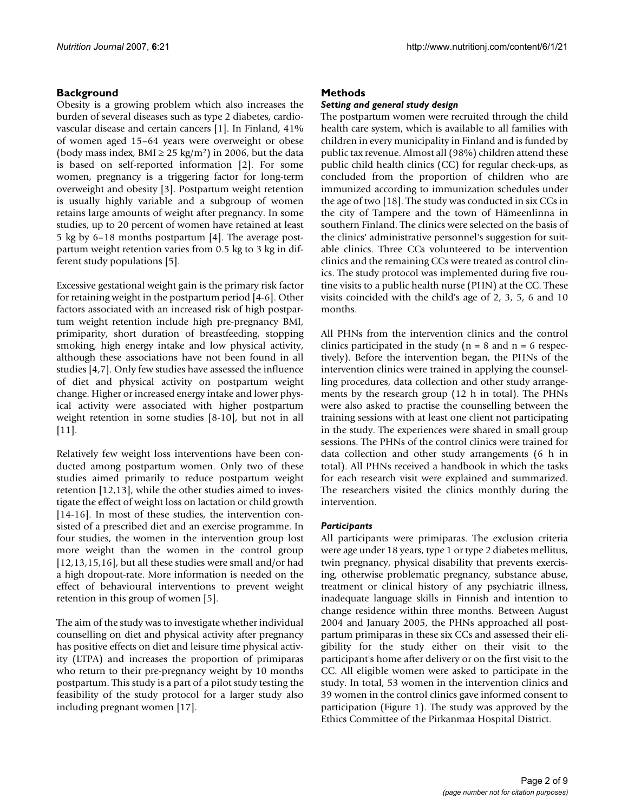# **Background**

Obesity is a growing problem which also increases the burden of several diseases such as type 2 diabetes, cardiovascular disease and certain cancers [1]. In Finland, 41% of women aged 15–64 years were overweight or obese (body mass index,  $BMI \geq 25$  kg/m<sup>2</sup>) in 2006, but the data is based on self-reported information [2]. For some women, pregnancy is a triggering factor for long-term overweight and obesity [3]. Postpartum weight retention is usually highly variable and a subgroup of women retains large amounts of weight after pregnancy. In some studies, up to 20 percent of women have retained at least 5 kg by 6–18 months postpartum [4]. The average postpartum weight retention varies from 0.5 kg to 3 kg in different study populations [5].

Excessive gestational weight gain is the primary risk factor for retaining weight in the postpartum period [4-6]. Other factors associated with an increased risk of high postpartum weight retention include high pre-pregnancy BMI, primiparity, short duration of breastfeeding, stopping smoking, high energy intake and low physical activity, although these associations have not been found in all studies [4,7]. Only few studies have assessed the influence of diet and physical activity on postpartum weight change. Higher or increased energy intake and lower physical activity were associated with higher postpartum weight retention in some studies [8-10], but not in all [11].

Relatively few weight loss interventions have been conducted among postpartum women. Only two of these studies aimed primarily to reduce postpartum weight retention [12,13], while the other studies aimed to investigate the effect of weight loss on lactation or child growth [14-16]. In most of these studies, the intervention consisted of a prescribed diet and an exercise programme. In four studies, the women in the intervention group lost more weight than the women in the control group [12,13,15,16], but all these studies were small and/or had a high dropout-rate. More information is needed on the effect of behavioural interventions to prevent weight retention in this group of women [5].

The aim of the study was to investigate whether individual counselling on diet and physical activity after pregnancy has positive effects on diet and leisure time physical activity (LTPA) and increases the proportion of primiparas who return to their pre-pregnancy weight by 10 months postpartum. This study is a part of a pilot study testing the feasibility of the study protocol for a larger study also including pregnant women [17].

# **Methods**

#### *Setting and general study design*

The postpartum women were recruited through the child health care system, which is available to all families with children in every municipality in Finland and is funded by public tax revenue. Almost all (98%) children attend these public child health clinics (CC) for regular check-ups, as concluded from the proportion of children who are immunized according to immunization schedules under the age of two [18]. The study was conducted in six CCs in the city of Tampere and the town of Hämeenlinna in southern Finland. The clinics were selected on the basis of the clinics' administrative personnel's suggestion for suitable clinics. Three CCs volunteered to be intervention clinics and the remaining CCs were treated as control clinics. The study protocol was implemented during five routine visits to a public health nurse (PHN) at the CC. These visits coincided with the child's age of 2, 3, 5, 6 and 10 months.

All PHNs from the intervention clinics and the control clinics participated in the study ( $n = 8$  and  $n = 6$  respectively). Before the intervention began, the PHNs of the intervention clinics were trained in applying the counselling procedures, data collection and other study arrangements by the research group (12 h in total). The PHNs were also asked to practise the counselling between the training sessions with at least one client not participating in the study. The experiences were shared in small group sessions. The PHNs of the control clinics were trained for data collection and other study arrangements (6 h in total). All PHNs received a handbook in which the tasks for each research visit were explained and summarized. The researchers visited the clinics monthly during the intervention.

# *Participants*

All participants were primiparas. The exclusion criteria were age under 18 years, type 1 or type 2 diabetes mellitus, twin pregnancy, physical disability that prevents exercising, otherwise problematic pregnancy, substance abuse, treatment or clinical history of any psychiatric illness, inadequate language skills in Finnish and intention to change residence within three months. Between August 2004 and January 2005, the PHNs approached all postpartum primiparas in these six CCs and assessed their eligibility for the study either on their visit to the participant's home after delivery or on the first visit to the CC. All eligible women were asked to participate in the study. In total, 53 women in the intervention clinics and 39 women in the control clinics gave informed consent to participation (Figure 1). The study was approved by the Ethics Committee of the Pirkanmaa Hospital District.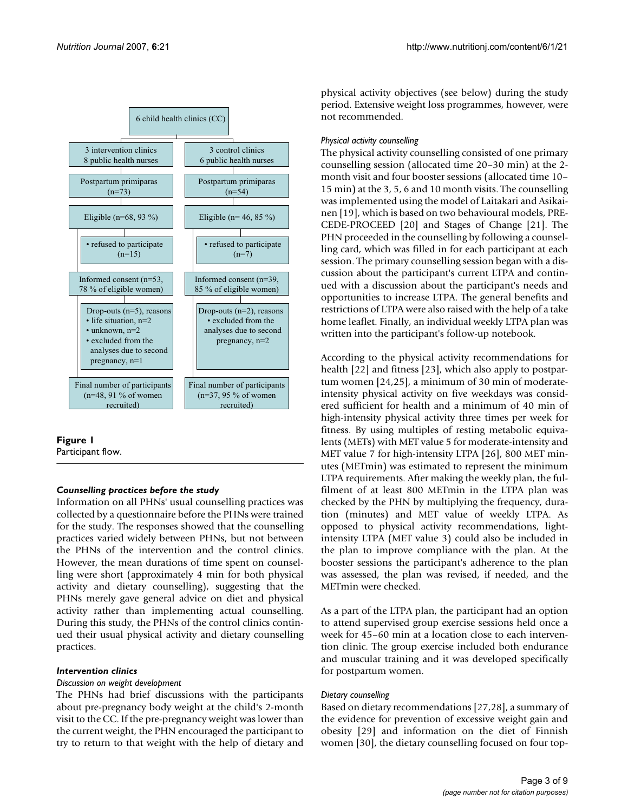

# **Figure 1**

Participant flow.

#### *Counselling practices before the study*

Information on all PHNs' usual counselling practices was collected by a questionnaire before the PHNs were trained for the study. The responses showed that the counselling practices varied widely between PHNs, but not between the PHNs of the intervention and the control clinics. However, the mean durations of time spent on counselling were short (approximately 4 min for both physical activity and dietary counselling), suggesting that the PHNs merely gave general advice on diet and physical activity rather than implementing actual counselling. During this study, the PHNs of the control clinics continued their usual physical activity and dietary counselling practices.

#### *Intervention clinics*

#### *Discussion on weight development*

The PHNs had brief discussions with the participants about pre-pregnancy body weight at the child's 2-month visit to the CC. If the pre-pregnancy weight was lower than the current weight, the PHN encouraged the participant to try to return to that weight with the help of dietary and

physical activity objectives (see below) during the study period. Extensive weight loss programmes, however, were not recommended.

#### *Physical activity counselling*

The physical activity counselling consisted of one primary counselling session (allocated time 20–30 min) at the 2 month visit and four booster sessions (allocated time 10– 15 min) at the 3, 5, 6 and 10 month visits. The counselling was implemented using the model of Laitakari and Asikainen [19], which is based on two behavioural models, PRE-CEDE-PROCEED [20] and Stages of Change [21]. The PHN proceeded in the counselling by following a counselling card, which was filled in for each participant at each session. The primary counselling session began with a discussion about the participant's current LTPA and continued with a discussion about the participant's needs and opportunities to increase LTPA. The general benefits and restrictions of LTPA were also raised with the help of a take home leaflet. Finally, an individual weekly LTPA plan was written into the participant's follow-up notebook.

According to the physical activity recommendations for health [22] and fitness [23], which also apply to postpartum women [24,25], a minimum of 30 min of moderateintensity physical activity on five weekdays was considered sufficient for health and a minimum of 40 min of high-intensity physical activity three times per week for fitness. By using multiples of resting metabolic equivalents (METs) with MET value 5 for moderate-intensity and MET value 7 for high-intensity LTPA [26], 800 MET minutes (METmin) was estimated to represent the minimum LTPA requirements. After making the weekly plan, the fulfilment of at least 800 METmin in the LTPA plan was checked by the PHN by multiplying the frequency, duration (minutes) and MET value of weekly LTPA. As opposed to physical activity recommendations, lightintensity LTPA (MET value 3) could also be included in the plan to improve compliance with the plan. At the booster sessions the participant's adherence to the plan was assessed, the plan was revised, if needed, and the METmin were checked.

As a part of the LTPA plan, the participant had an option to attend supervised group exercise sessions held once a week for 45–60 min at a location close to each intervention clinic. The group exercise included both endurance and muscular training and it was developed specifically for postpartum women.

#### *Dietary counselling*

Based on dietary recommendations [27,28], a summary of the evidence for prevention of excessive weight gain and obesity [29] and information on the diet of Finnish women [30], the dietary counselling focused on four top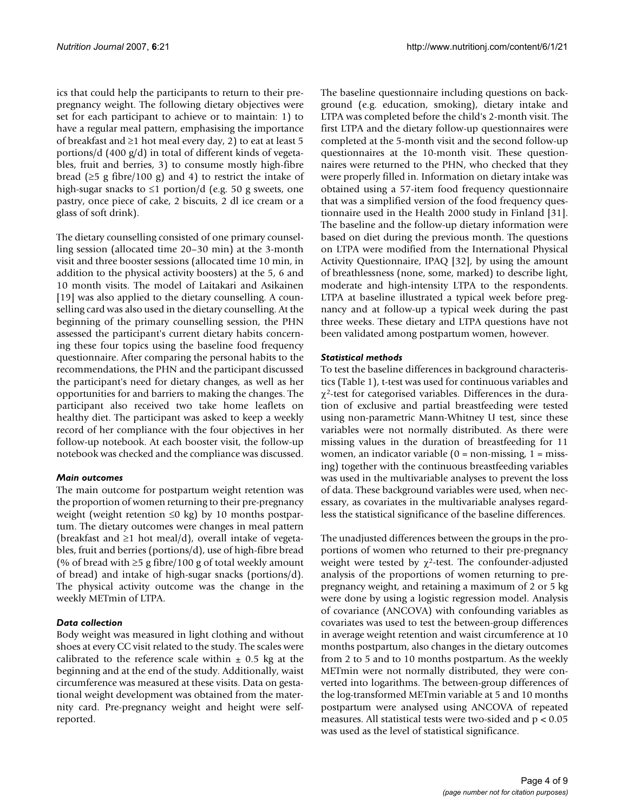ics that could help the participants to return to their prepregnancy weight. The following dietary objectives were set for each participant to achieve or to maintain: 1) to have a regular meal pattern, emphasising the importance of breakfast and ≥1 hot meal every day, 2) to eat at least 5 portions/d (400 g/d) in total of different kinds of vegetables, fruit and berries, 3) to consume mostly high-fibre bread ( $\geq$ 5 g fibre/100 g) and 4) to restrict the intake of high-sugar snacks to  $\leq 1$  portion/d (e.g. 50 g sweets, one pastry, once piece of cake, 2 biscuits, 2 dl ice cream or a glass of soft drink).

The dietary counselling consisted of one primary counselling session (allocated time 20–30 min) at the 3-month visit and three booster sessions (allocated time 10 min, in addition to the physical activity boosters) at the 5, 6 and 10 month visits. The model of Laitakari and Asikainen [19] was also applied to the dietary counselling. A counselling card was also used in the dietary counselling. At the beginning of the primary counselling session, the PHN assessed the participant's current dietary habits concerning these four topics using the baseline food frequency questionnaire. After comparing the personal habits to the recommendations, the PHN and the participant discussed the participant's need for dietary changes, as well as her opportunities for and barriers to making the changes. The participant also received two take home leaflets on healthy diet. The participant was asked to keep a weekly record of her compliance with the four objectives in her follow-up notebook. At each booster visit, the follow-up notebook was checked and the compliance was discussed.

#### *Main outcomes*

The main outcome for postpartum weight retention was the proportion of women returning to their pre-pregnancy weight (weight retention  $\leq 0$  kg) by 10 months postpartum. The dietary outcomes were changes in meal pattern (breakfast and  $\geq 1$  hot meal/d), overall intake of vegetables, fruit and berries (portions/d), use of high-fibre bread (% of bread with  $\geq$ 5 g fibre/100 g of total weekly amount of bread) and intake of high-sugar snacks (portions/d). The physical activity outcome was the change in the weekly METmin of LTPA.

# *Data collection*

Body weight was measured in light clothing and without shoes at every CC visit related to the study. The scales were calibrated to the reference scale within  $\pm$  0.5 kg at the beginning and at the end of the study. Additionally, waist circumference was measured at these visits. Data on gestational weight development was obtained from the maternity card. Pre-pregnancy weight and height were selfreported.

The baseline questionnaire including questions on background (e.g. education, smoking), dietary intake and LTPA was completed before the child's 2-month visit. The first LTPA and the dietary follow-up questionnaires were completed at the 5-month visit and the second follow-up questionnaires at the 10-month visit. These questionnaires were returned to the PHN, who checked that they were properly filled in. Information on dietary intake was obtained using a 57-item food frequency questionnaire that was a simplified version of the food frequency questionnaire used in the Health 2000 study in Finland [31]. The baseline and the follow-up dietary information were based on diet during the previous month. The questions on LTPA were modified from the International Physical Activity Questionnaire, IPAQ [32], by using the amount of breathlessness (none, some, marked) to describe light, moderate and high-intensity LTPA to the respondents. LTPA at baseline illustrated a typical week before pregnancy and at follow-up a typical week during the past three weeks. These dietary and LTPA questions have not been validated among postpartum women, however.

### *Statistical methods*

To test the baseline differences in background characteristics (Table 1), t-test was used for continuous variables and χ2-test for categorised variables. Differences in the duration of exclusive and partial breastfeeding were tested using non-parametric Mann-Whitney U test, since these variables were not normally distributed. As there were missing values in the duration of breastfeeding for 11 women, an indicator variable  $(0 = non-missing, 1 = miss$ ing) together with the continuous breastfeeding variables was used in the multivariable analyses to prevent the loss of data. These background variables were used, when necessary, as covariates in the multivariable analyses regardless the statistical significance of the baseline differences.

The unadjusted differences between the groups in the proportions of women who returned to their pre-pregnancy weight were tested by  $\chi^2$ -test. The confounder-adjusted analysis of the proportions of women returning to prepregnancy weight, and retaining a maximum of 2 or 5 kg were done by using a logistic regression model. Analysis of covariance (ANCOVA) with confounding variables as covariates was used to test the between-group differences in average weight retention and waist circumference at 10 months postpartum, also changes in the dietary outcomes from 2 to 5 and to 10 months postpartum. As the weekly METmin were not normally distributed, they were converted into logarithms. The between-group differences of the log-transformed METmin variable at 5 and 10 months postpartum were analysed using ANCOVA of repeated measures. All statistical tests were two-sided and  $p < 0.05$ was used as the level of statistical significance.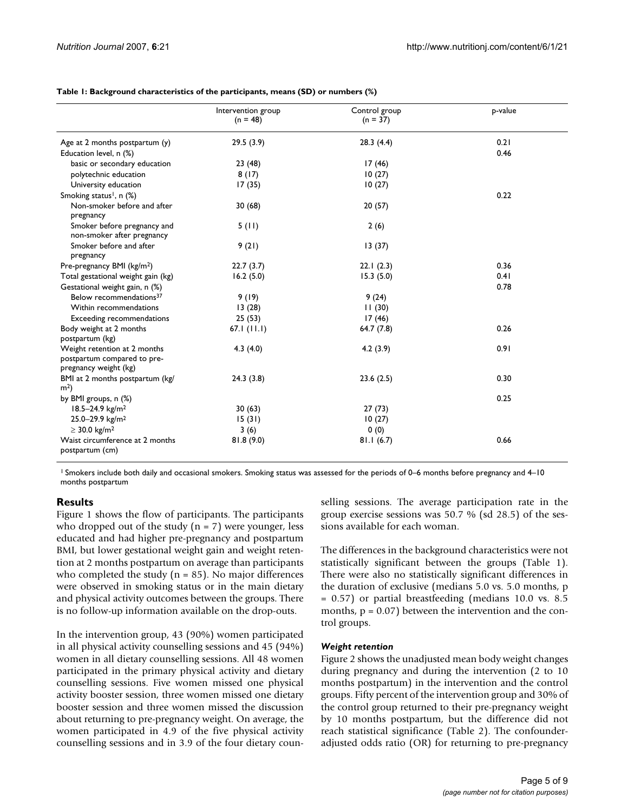|                                                                                      | Intervention group | Control group | p-value |  |  |
|--------------------------------------------------------------------------------------|--------------------|---------------|---------|--|--|
|                                                                                      | $(n = 48)$         | $(n = 37)$    |         |  |  |
| Age at 2 months postpartum $(y)$                                                     | 29.5(3.9)          | 28.3(4.4)     | 0.21    |  |  |
| Education level, n (%)                                                               |                    |               | 0.46    |  |  |
| basic or secondary education                                                         | 23(48)             | 17(46)        |         |  |  |
| polytechnic education                                                                | 8(17)              | 10(27)        |         |  |  |
| University education                                                                 | 17(35)             | 10(27)        |         |  |  |
| Smoking status <sup>1</sup> , n (%)                                                  |                    |               | 0.22    |  |  |
| Non-smoker before and after<br>pregnancy                                             | 30(68)             | 20(57)        |         |  |  |
| Smoker before pregnancy and<br>non-smoker after pregnancy                            | 5(11)              | 2(6)          |         |  |  |
| Smoker before and after<br>pregnancy                                                 | 9(21)              | 13(37)        |         |  |  |
| Pre-pregnancy BMI (kg/m <sup>2</sup> )                                               | 22.7(3.7)          | 22.1(2.3)     | 0.36    |  |  |
| Total gestational weight gain (kg)                                                   | 16.2(5.0)          | 15.3(5.0)     | 0.41    |  |  |
| Gestational weight gain, n (%)                                                       |                    |               | 0.78    |  |  |
| Below recommendations <sup>37</sup>                                                  | 9(19)              | 9(24)         |         |  |  |
| Within recommendations                                                               | 13(28)             | 11(30)        |         |  |  |
| Exceeding recommendations                                                            | 25(53)             | 17(46)        |         |  |  |
| Body weight at 2 months                                                              | $67.1$ (11.1)      | 64.7(7.8)     | 0.26    |  |  |
| postpartum (kg)                                                                      |                    |               |         |  |  |
| Weight retention at 2 months<br>postpartum compared to pre-<br>pregnancy weight (kg) | 4.3(4.0)           | 4.2(3.9)      | 0.91    |  |  |
| BMI at 2 months postpartum (kg/<br>m <sup>2</sup>                                    | 24.3(3.8)          | 23.6(2.5)     | 0.30    |  |  |
| by BMI groups, n (%)                                                                 |                    |               | 0.25    |  |  |
| $18.5 - 24.9$ kg/m <sup>2</sup>                                                      | 30(63)             | 27(73)        |         |  |  |
| 25.0-29.9 kg/m <sup>2</sup>                                                          | 15(31)             | 10(27)        |         |  |  |
| $\geq$ 30.0 kg/m <sup>2</sup>                                                        | 3(6)               | 0(0)          |         |  |  |
| Waist circumference at 2 months<br>postpartum (cm)                                   | 81.8(9.0)          | 81.1(6.7)     | 0.66    |  |  |

#### **Table 1: Background characteristics of the participants, means (SD) or numbers (%)**

1 Smokers include both daily and occasional smokers. Smoking status was assessed for the periods of 0–6 months before pregnancy and 4–10 months postpartum

#### **Results**

Figure 1 shows the flow of participants. The participants who dropped out of the study  $(n = 7)$  were younger, less educated and had higher pre-pregnancy and postpartum BMI, but lower gestational weight gain and weight retention at 2 months postpartum on average than participants who completed the study ( $n = 85$ ). No major differences were observed in smoking status or in the main dietary and physical activity outcomes between the groups. There is no follow-up information available on the drop-outs.

In the intervention group, 43 (90%) women participated in all physical activity counselling sessions and 45 (94%) women in all dietary counselling sessions. All 48 women participated in the primary physical activity and dietary counselling sessions. Five women missed one physical activity booster session, three women missed one dietary booster session and three women missed the discussion about returning to pre-pregnancy weight. On average, the women participated in 4.9 of the five physical activity counselling sessions and in 3.9 of the four dietary counselling sessions. The average participation rate in the group exercise sessions was 50.7 % (sd 28.5) of the sessions available for each woman.

The differences in the background characteristics were not statistically significant between the groups (Table 1). There were also no statistically significant differences in the duration of exclusive (medians 5.0 vs. 5.0 months, p = 0.57) or partial breastfeeding (medians 10.0 vs. 8.5 months,  $p = 0.07$ ) between the intervention and the control groups.

#### *Weight retention*

Figure 2 shows the unadjusted mean body weight changes during pregnancy and during the intervention (2 to 10 months postpartum) in the intervention and the control groups. Fifty percent of the intervention group and 30% of the control group returned to their pre-pregnancy weight by 10 months postpartum, but the difference did not reach statistical significance (Table 2). The confounderadjusted odds ratio (OR) for returning to pre-pregnancy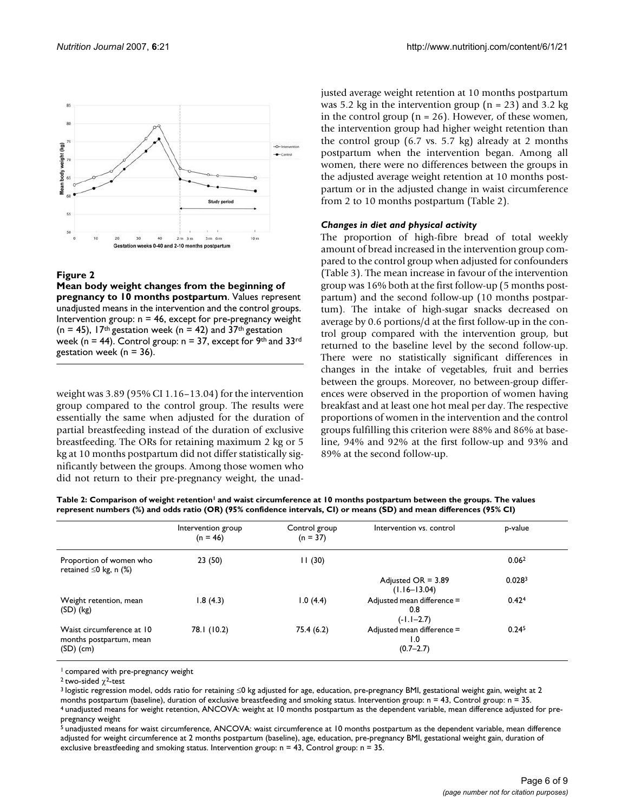

#### Figure 2

**Mean body weight changes from the beginning of pregnancy to 10 months postpartum**. Values represent unadjusted means in the intervention and the control groups. Intervention group:  $n = 46$ , except for pre-pregnancy weight (n = 45), 17<sup>th</sup> gestation week (n = 42) and 37<sup>th</sup> gestation week (n = 44). Control group:  $n = 37$ , except for 9<sup>th</sup> and 33<sup>rd</sup> gestation week ( $n = 36$ ).

weight was 3.89 (95% CI 1.16–13.04) for the intervention group compared to the control group. The results were essentially the same when adjusted for the duration of partial breastfeeding instead of the duration of exclusive breastfeeding. The ORs for retaining maximum 2 kg or 5 kg at 10 months postpartum did not differ statistically significantly between the groups. Among those women who did not return to their pre-pregnancy weight, the unadjusted average weight retention at 10 months postpartum was 5.2 kg in the intervention group ( $n = 23$ ) and 3.2 kg in the control group ( $n = 26$ ). However, of these women, the intervention group had higher weight retention than the control group (6.7 vs. 5.7 kg) already at 2 months postpartum when the intervention began. Among all women, there were no differences between the groups in the adjusted average weight retention at 10 months postpartum or in the adjusted change in waist circumference from 2 to 10 months postpartum (Table 2).

#### *Changes in diet and physical activity*

The proportion of high-fibre bread of total weekly amount of bread increased in the intervention group compared to the control group when adjusted for confounders (Table 3). The mean increase in favour of the intervention group was 16% both at the first follow-up (5 months postpartum) and the second follow-up (10 months postpartum). The intake of high-sugar snacks decreased on average by 0.6 portions/d at the first follow-up in the control group compared with the intervention group, but returned to the baseline level by the second follow-up. There were no statistically significant differences in changes in the intake of vegetables, fruit and berries between the groups. Moreover, no between-group differences were observed in the proportion of women having breakfast and at least one hot meal per day. The respective proportions of women in the intervention and the control groups fulfilling this criterion were 88% and 86% at baseline, 94% and 92% at the first follow-up and 93% and 89% at the second follow-up.

Table 2: Comparison of weight retention<sup>1</sup> and waist circumference at 10 months postpartum between the groups. The values **represent numbers (%) and odds ratio (OR) (95% confidence intervals, CI) or means (SD) and mean differences (95% CI)**

|                                                                     | Intervention group<br>$(n = 46)$ | Control group<br>$(n = 37)$ | Intervention vs. control                            | p-value            |
|---------------------------------------------------------------------|----------------------------------|-----------------------------|-----------------------------------------------------|--------------------|
| Proportion of women who<br>retained $\leq 0$ kg, n (%)              | 23(50)                           | 11(30)                      |                                                     | 0.06 <sup>2</sup>  |
|                                                                     |                                  |                             | Adjusted OR = $3.89$<br>$(1.16 - 13.04)$            | 0.028 <sup>3</sup> |
| Weight retention, mean<br>$(SD)$ $(kg)$                             | 1.8(4.3)                         | 1.0(4.4)                    | Adjusted mean difference =<br>0.8<br>$(-1.1 - 2.7)$ | 0.42 <sup>4</sup>  |
| Waist circumference at 10<br>months postpartum, mean<br>$(SD)$ (cm) | 78.1 (10.2)                      | 75.4 (6.2)                  | Adjusted mean difference =<br>1.0<br>$(0.7 - 2.7)$  | 0.24 <sup>5</sup>  |

1 compared with pre-pregnancy weight

3 logistic regression model, odds ratio for retaining ≤0 kg adjusted for age, education, pre-pregnancy BMI, gestational weight gain, weight at 2 months postpartum (baseline), duration of exclusive breastfeeding and smoking status. Intervention group: n = 43, Control group: n = 35. 4 unadjusted means for weight retention, ANCOVA: weight at 10 months postpartum as the dependent variable, mean difference adjusted for prepregnancy weight

5 unadjusted means for waist circumference, ANCOVA: waist circumference at 10 months postpartum as the dependent variable, mean difference adjusted for weight circumference at 2 months postpartum (baseline), age, education, pre-pregnancy BMI, gestational weight gain, duration of exclusive breastfeeding and smoking status. Intervention group: n = 43, Control group: n = 35.

<sup>&</sup>lt;sup>2</sup> two-sided  $χ$ <sup>2</sup>-test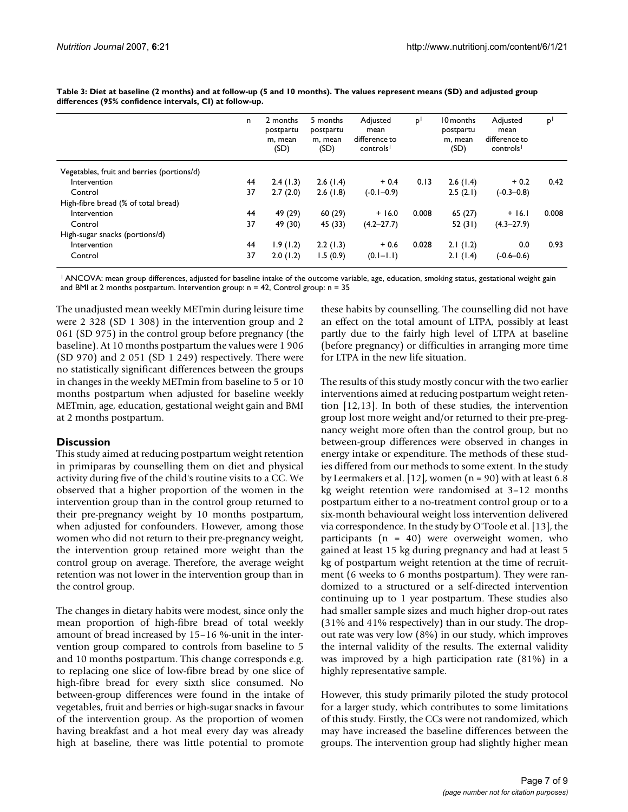|                                            | n. | 2 months<br>postpartu<br>m, mean<br>(SD) | 5 months<br>postpartu<br>m, mean<br>(SD) | Adjusted<br>mean<br>difference to<br>controls <sup>1</sup> | P <sup>1</sup> | 10 months<br>postpartu<br>m, mean<br>(SD) | Adjusted<br>mean<br>difference to<br>controls | P <sup>1</sup> |
|--------------------------------------------|----|------------------------------------------|------------------------------------------|------------------------------------------------------------|----------------|-------------------------------------------|-----------------------------------------------|----------------|
| Vegetables, fruit and berries (portions/d) |    |                                          |                                          |                                                            |                |                                           |                                               |                |
| Intervention                               | 44 | 2.4(1.3)                                 | 2.6(1.4)                                 | $+0.4$                                                     | 0.13           | 2.6(1.4)                                  | $+0.2$                                        | 0.42           |
| Control                                    | 37 | 2.7(2.0)                                 | 2.6(1.8)                                 | $(-0.1 - 0.9)$                                             |                | 2.5(2.1)                                  | $(-0.3 - 0.8)$                                |                |
| High-fibre bread (% of total bread)        |    |                                          |                                          |                                                            |                |                                           |                                               |                |
| Intervention                               | 44 | 49 (29)                                  | 60(29)                                   | $+16.0$                                                    | 0.008          | 65(27)                                    | $+$ 16.1                                      | 0.008          |
| Control                                    | 37 | 49 (30)                                  | 45 (33)                                  | $(4.2 - 27.7)$                                             |                | 52(31)                                    | $(4.3 - 27.9)$                                |                |
| High-sugar snacks (portions/d)             |    |                                          |                                          |                                                            |                |                                           |                                               |                |
| Intervention                               | 44 | 1.9(1.2)                                 | 2.2(1.3)                                 | $+0.6$                                                     | 0.028          | 2.1(1.2)                                  | 0.0                                           | 0.93           |
| Control                                    | 37 | 2.0(1.2)                                 | 1.5(0.9)                                 | $(0.1 - 1.1)$                                              |                | 2.1(1.4)                                  | $(-0.6 - 0.6)$                                |                |

**Table 3: Diet at baseline (2 months) and at follow-up (5 and 10 months). The values represent means (SD) and adjusted group differences (95% confidence intervals, CI) at follow-up.**

1 ANCOVA: mean group differences, adjusted for baseline intake of the outcome variable, age, education, smoking status, gestational weight gain and BMI at 2 months postpartum. Intervention group:  $n = 42$ , Control group:  $n = 35$ 

The unadjusted mean weekly METmin during leisure time were 2 328 (SD 1 308) in the intervention group and 2 061 (SD 975) in the control group before pregnancy (the baseline). At 10 months postpartum the values were 1 906 (SD 970) and 2 051 (SD 1 249) respectively. There were no statistically significant differences between the groups in changes in the weekly METmin from baseline to 5 or 10 months postpartum when adjusted for baseline weekly METmin, age, education, gestational weight gain and BMI at 2 months postpartum.

#### **Discussion**

This study aimed at reducing postpartum weight retention in primiparas by counselling them on diet and physical activity during five of the child's routine visits to a CC. We observed that a higher proportion of the women in the intervention group than in the control group returned to their pre-pregnancy weight by 10 months postpartum, when adjusted for confounders. However, among those women who did not return to their pre-pregnancy weight, the intervention group retained more weight than the control group on average. Therefore, the average weight retention was not lower in the intervention group than in the control group.

The changes in dietary habits were modest, since only the mean proportion of high-fibre bread of total weekly amount of bread increased by 15–16 %-unit in the intervention group compared to controls from baseline to 5 and 10 months postpartum. This change corresponds e.g. to replacing one slice of low-fibre bread by one slice of high-fibre bread for every sixth slice consumed. No between-group differences were found in the intake of vegetables, fruit and berries or high-sugar snacks in favour of the intervention group. As the proportion of women having breakfast and a hot meal every day was already high at baseline, there was little potential to promote these habits by counselling. The counselling did not have an effect on the total amount of LTPA, possibly at least partly due to the fairly high level of LTPA at baseline (before pregnancy) or difficulties in arranging more time for LTPA in the new life situation.

The results of this study mostly concur with the two earlier interventions aimed at reducing postpartum weight retention [12,13]. In both of these studies, the intervention group lost more weight and/or returned to their pre-pregnancy weight more often than the control group, but no between-group differences were observed in changes in energy intake or expenditure. The methods of these studies differed from our methods to some extent. In the study by Leermakers et al. [12], women ( $n = 90$ ) with at least 6.8 kg weight retention were randomised at 3–12 months postpartum either to a no-treatment control group or to a six-month behavioural weight loss intervention delivered via correspondence. In the study by O'Toole et al. [13], the participants  $(n = 40)$  were overweight women, who gained at least 15 kg during pregnancy and had at least 5 kg of postpartum weight retention at the time of recruitment (6 weeks to 6 months postpartum). They were randomized to a structured or a self-directed intervention continuing up to 1 year postpartum. These studies also had smaller sample sizes and much higher drop-out rates (31% and 41% respectively) than in our study. The dropout rate was very low (8%) in our study, which improves the internal validity of the results. The external validity was improved by a high participation rate (81%) in a highly representative sample.

However, this study primarily piloted the study protocol for a larger study, which contributes to some limitations of this study. Firstly, the CCs were not randomized, which may have increased the baseline differences between the groups. The intervention group had slightly higher mean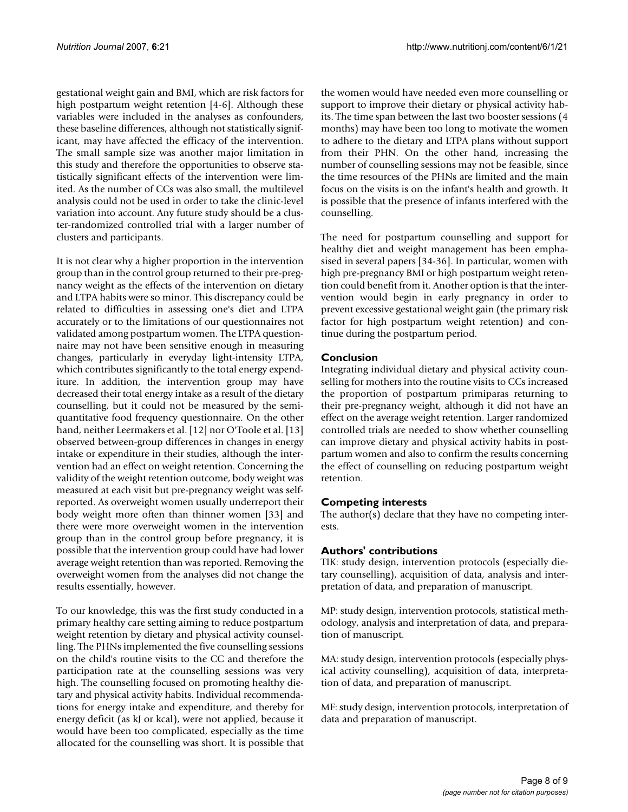gestational weight gain and BMI, which are risk factors for high postpartum weight retention [4-6]. Although these variables were included in the analyses as confounders, these baseline differences, although not statistically significant, may have affected the efficacy of the intervention. The small sample size was another major limitation in this study and therefore the opportunities to observe statistically significant effects of the intervention were limited. As the number of CCs was also small, the multilevel analysis could not be used in order to take the clinic-level variation into account. Any future study should be a cluster-randomized controlled trial with a larger number of clusters and participants.

It is not clear why a higher proportion in the intervention group than in the control group returned to their pre-pregnancy weight as the effects of the intervention on dietary and LTPA habits were so minor. This discrepancy could be related to difficulties in assessing one's diet and LTPA accurately or to the limitations of our questionnaires not validated among postpartum women. The LTPA questionnaire may not have been sensitive enough in measuring changes, particularly in everyday light-intensity LTPA, which contributes significantly to the total energy expenditure. In addition, the intervention group may have decreased their total energy intake as a result of the dietary counselling, but it could not be measured by the semiquantitative food frequency questionnaire. On the other hand, neither Leermakers et al. [12] nor O'Toole et al. [13] observed between-group differences in changes in energy intake or expenditure in their studies, although the intervention had an effect on weight retention. Concerning the validity of the weight retention outcome, body weight was measured at each visit but pre-pregnancy weight was selfreported. As overweight women usually underreport their body weight more often than thinner women [33] and there were more overweight women in the intervention group than in the control group before pregnancy, it is possible that the intervention group could have had lower average weight retention than was reported. Removing the overweight women from the analyses did not change the results essentially, however.

To our knowledge, this was the first study conducted in a primary healthy care setting aiming to reduce postpartum weight retention by dietary and physical activity counselling. The PHNs implemented the five counselling sessions on the child's routine visits to the CC and therefore the participation rate at the counselling sessions was very high. The counselling focused on promoting healthy dietary and physical activity habits. Individual recommendations for energy intake and expenditure, and thereby for energy deficit (as kJ or kcal), were not applied, because it would have been too complicated, especially as the time allocated for the counselling was short. It is possible that the women would have needed even more counselling or support to improve their dietary or physical activity habits. The time span between the last two booster sessions (4 months) may have been too long to motivate the women to adhere to the dietary and LTPA plans without support from their PHN. On the other hand, increasing the number of counselling sessions may not be feasible, since the time resources of the PHNs are limited and the main focus on the visits is on the infant's health and growth. It is possible that the presence of infants interfered with the counselling.

The need for postpartum counselling and support for healthy diet and weight management has been emphasised in several papers [34-36]. In particular, women with high pre-pregnancy BMI or high postpartum weight retention could benefit from it. Another option is that the intervention would begin in early pregnancy in order to prevent excessive gestational weight gain (the primary risk factor for high postpartum weight retention) and continue during the postpartum period.

### **Conclusion**

Integrating individual dietary and physical activity counselling for mothers into the routine visits to CCs increased the proportion of postpartum primiparas returning to their pre-pregnancy weight, although it did not have an effect on the average weight retention. Larger randomized controlled trials are needed to show whether counselling can improve dietary and physical activity habits in postpartum women and also to confirm the results concerning the effect of counselling on reducing postpartum weight retention.

# **Competing interests**

The author(s) declare that they have no competing interests.

#### **Authors' contributions**

TIK: study design, intervention protocols (especially dietary counselling), acquisition of data, analysis and interpretation of data, and preparation of manuscript.

MP: study design, intervention protocols, statistical methodology, analysis and interpretation of data, and preparation of manuscript.

MA: study design, intervention protocols (especially physical activity counselling), acquisition of data, interpretation of data, and preparation of manuscript.

MF: study design, intervention protocols, interpretation of data and preparation of manuscript.